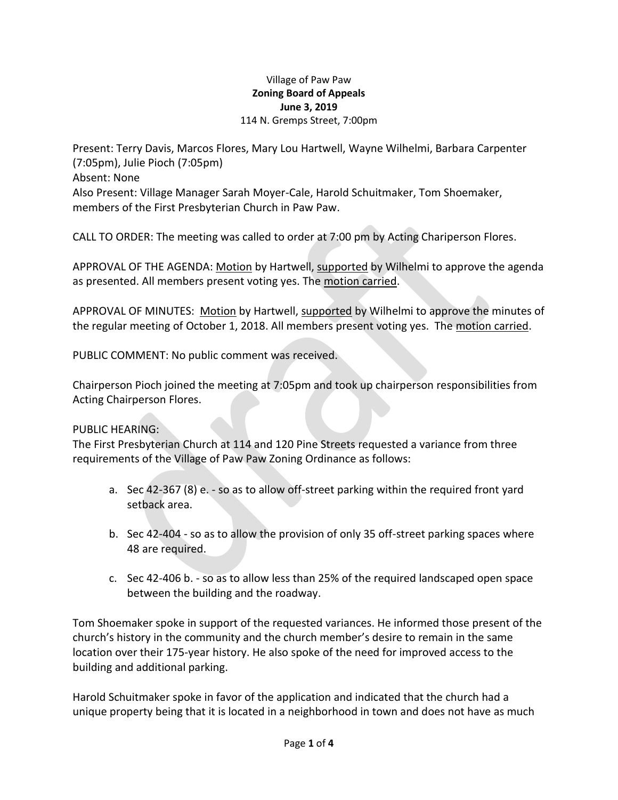#### Village of Paw Paw **Zoning Board of Appeals June 3, 2019** 114 N. Gremps Street, 7:00pm

Present: Terry Davis, Marcos Flores, Mary Lou Hartwell, Wayne Wilhelmi, Barbara Carpenter (7:05pm), Julie Pioch (7:05pm) Absent: None Also Present: Village Manager Sarah Moyer-Cale, Harold Schuitmaker, Tom Shoemaker, members of the First Presbyterian Church in Paw Paw.

CALL TO ORDER: The meeting was called to order at 7:00 pm by Acting Chariperson Flores.

APPROVAL OF THE AGENDA: Motion by Hartwell, supported by Wilhelmi to approve the agenda as presented. All members present voting yes. The motion carried.

APPROVAL OF MINUTES: Motion by Hartwell, supported by Wilhelmi to approve the minutes of the regular meeting of October 1, 2018. All members present voting yes. The motion carried.

PUBLIC COMMENT: No public comment was received.

Chairperson Pioch joined the meeting at 7:05pm and took up chairperson responsibilities from Acting Chairperson Flores.

## PUBLIC HEARING:

The First Presbyterian Church at 114 and 120 Pine Streets requested a variance from three requirements of the Village of Paw Paw Zoning Ordinance as follows:

- a. Sec 42-367 (8) e. so as to allow off-street parking within the required front yard setback area.
- b. Sec 42-404 so as to allow the provision of only 35 off-street parking spaces where 48 are required.
- c. Sec 42-406 b. so as to allow less than 25% of the required landscaped open space between the building and the roadway.

Tom Shoemaker spoke in support of the requested variances. He informed those present of the church's history in the community and the church member's desire to remain in the same location over their 175-year history. He also spoke of the need for improved access to the building and additional parking.

Harold Schuitmaker spoke in favor of the application and indicated that the church had a unique property being that it is located in a neighborhood in town and does not have as much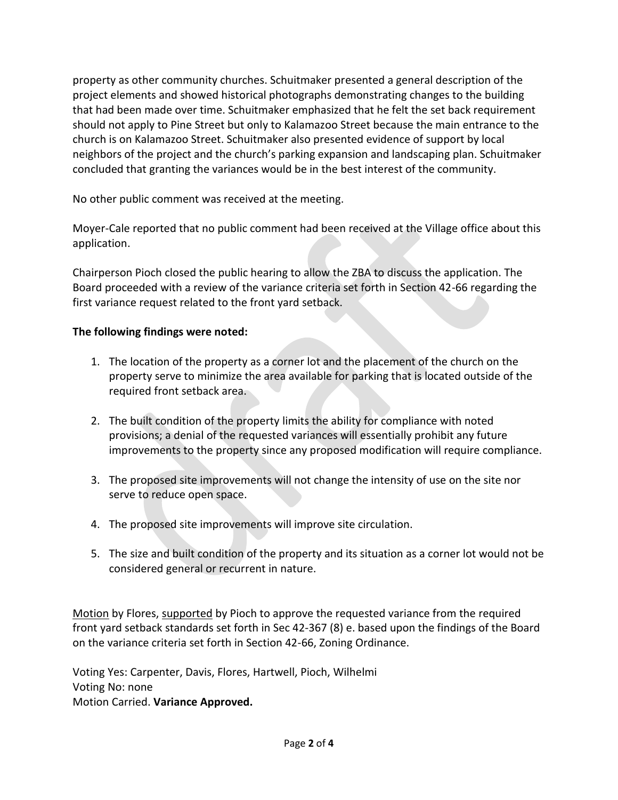property as other community churches. Schuitmaker presented a general description of the project elements and showed historical photographs demonstrating changes to the building that had been made over time. Schuitmaker emphasized that he felt the set back requirement should not apply to Pine Street but only to Kalamazoo Street because the main entrance to the church is on Kalamazoo Street. Schuitmaker also presented evidence of support by local neighbors of the project and the church's parking expansion and landscaping plan. Schuitmaker concluded that granting the variances would be in the best interest of the community.

No other public comment was received at the meeting.

Moyer-Cale reported that no public comment had been received at the Village office about this application.

Chairperson Pioch closed the public hearing to allow the ZBA to discuss the application. The Board proceeded with a review of the variance criteria set forth in Section 42-66 regarding the first variance request related to the front yard setback.

## **The following findings were noted:**

- 1. The location of the property as a corner lot and the placement of the church on the property serve to minimize the area available for parking that is located outside of the required front setback area.
- 2. The built condition of the property limits the ability for compliance with noted provisions; a denial of the requested variances will essentially prohibit any future improvements to the property since any proposed modification will require compliance.
- 3. The proposed site improvements will not change the intensity of use on the site nor serve to reduce open space.
- 4. The proposed site improvements will improve site circulation.
- 5. The size and built condition of the property and its situation as a corner lot would not be considered general or recurrent in nature.

Motion by Flores, supported by Pioch to approve the requested variance from the required front yard setback standards set forth in Sec 42-367 (8) e. based upon the findings of the Board on the variance criteria set forth in Section 42-66, Zoning Ordinance.

Voting Yes: Carpenter, Davis, Flores, Hartwell, Pioch, Wilhelmi Voting No: none Motion Carried. **Variance Approved.**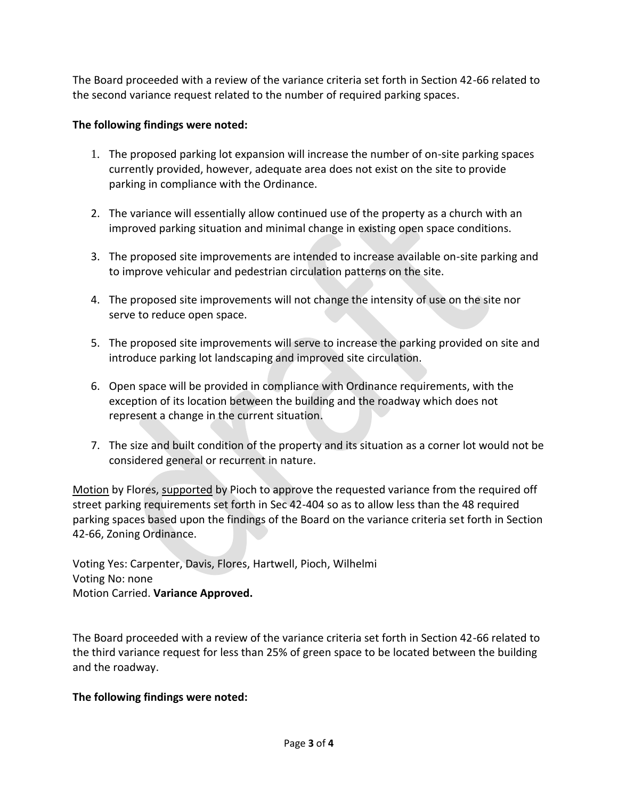The Board proceeded with a review of the variance criteria set forth in Section 42-66 related to the second variance request related to the number of required parking spaces.

# **The following findings were noted:**

- 1. The proposed parking lot expansion will increase the number of on-site parking spaces currently provided, however, adequate area does not exist on the site to provide parking in compliance with the Ordinance.
- 2. The variance will essentially allow continued use of the property as a church with an improved parking situation and minimal change in existing open space conditions.
- 3. The proposed site improvements are intended to increase available on-site parking and to improve vehicular and pedestrian circulation patterns on the site.
- 4. The proposed site improvements will not change the intensity of use on the site nor serve to reduce open space.
- 5. The proposed site improvements will serve to increase the parking provided on site and introduce parking lot landscaping and improved site circulation.
- 6. Open space will be provided in compliance with Ordinance requirements, with the exception of its location between the building and the roadway which does not represent a change in the current situation.
- 7. The size and built condition of the property and its situation as a corner lot would not be considered general or recurrent in nature.

Motion by Flores, supported by Pioch to approve the requested variance from the required off street parking requirements set forth in Sec 42-404 so as to allow less than the 48 required parking spaces based upon the findings of the Board on the variance criteria set forth in Section 42-66, Zoning Ordinance.

Voting Yes: Carpenter, Davis, Flores, Hartwell, Pioch, Wilhelmi Voting No: none Motion Carried. **Variance Approved.**

The Board proceeded with a review of the variance criteria set forth in Section 42-66 related to the third variance request for less than 25% of green space to be located between the building and the roadway.

## **The following findings were noted:**